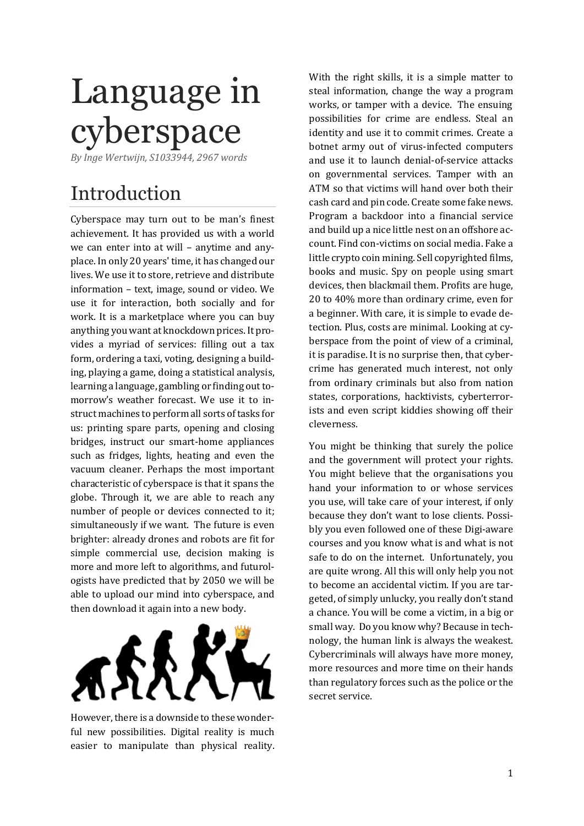# Language in cyberspace

*By Inge Wertwijn, S1033944, 2967 words*

## Introduction

Cyberspace may turn out to be man's finest achievement. It has provided us with a world we can enter into at will – anytime and anyplace. In only 20 years' time, it has changed our lives. We use it to store, retrieve and distribute information – text, image, sound or video. We use it for interaction, both socially and for work. It is a marketplace where you can buy anything you want at knockdown prices. It provides a myriad of services: filling out a tax form, ordering a taxi, voting, designing a building, playing a game, doing a statistical analysis, learning a language, gambling or finding out tomorrow's weather forecast. We use it to instruct machines to perform all sorts of tasks for us: printing spare parts, opening and closing bridges, instruct our smart-home appliances such as fridges, lights, heating and even the vacuum cleaner. Perhaps the most important characteristic of cyberspace is that it spans the globe. Through it, we are able to reach any number of people or devices connected to it; simultaneously if we want. The future is even brighter: already drones and robots are fit for simple commercial use, decision making is more and more left to algorithms, and futurologists have predicted that by 2050 we will be able to upload our mind into cyberspace, and then download it again into a new body.



However, there is a downside to these wonderful new possibilities. Digital reality is much easier to manipulate than physical reality.

With the right skills, it is a simple matter to steal information, change the way a program works, or tamper with a device. The ensuing possibilities for crime are endless. Steal an identity and use it to commit crimes. Create a botnet army out of virus-infected computers and use it to launch denial-of-service attacks on governmental services. Tamper with an ATM so that victims will hand over both their cash card and pin code. Create some fake news. Program a backdoor into a financial service and build up a nice little nest on an offshore account. Find con-victims on social media. Fake a little crypto coin mining. Sell copyrighted films, books and music. Spy on people using smart devices, then blackmail them. Profits are huge, 20 to 40% more than ordinary crime, even for a beginner. With care, it is simple to evade detection. Plus, costs are minimal. Looking at cyberspace from the point of view of a criminal, it is paradise. It is no surprise then, that cybercrime has generated much interest, not only from ordinary criminals but also from nation states, corporations, hacktivists, cyberterrorists and even script kiddies showing off their cleverness.

You might be thinking that surely the police and the government will protect your rights. You might believe that the organisations you hand your information to or whose services you use, will take care of your interest, if only because they don't want to lose clients. Possibly you even followed one of these Digi-aware courses and you know what is and what is not safe to do on the internet. Unfortunately, you are quite wrong. All this will only help you not to become an accidental victim. If you are targeted, of simply unlucky, you really don't stand a chance. You will be come a victim, in a big or small way. Do you know why? Because in technology, the human link is always the weakest. Cybercriminals will always have more money, more resources and more time on their hands than regulatory forces such as the police or the secret service.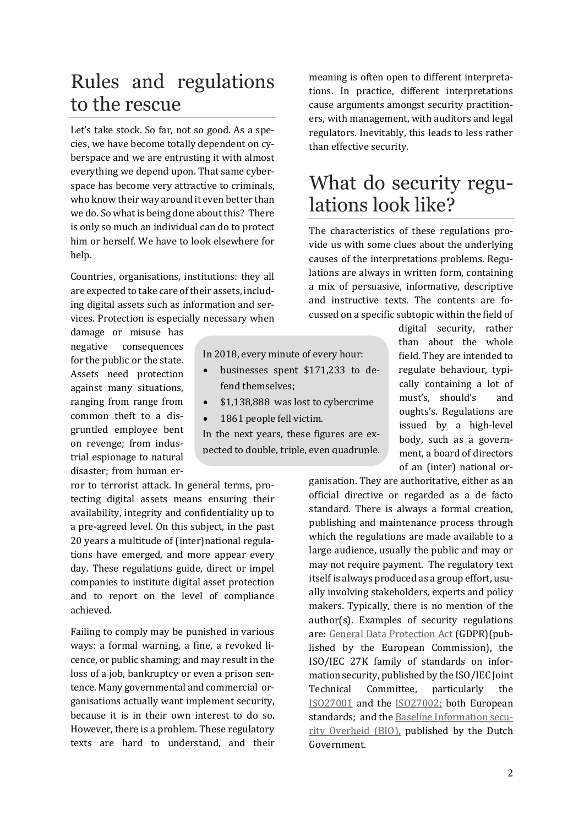### Rules and regulations to the rescue

Let's take stock. So far, not so good. As a species, we have become totally dependent on cyberspace and we are entrusting it with almost everything we depend upon. That same cyberspace has become very attractive to criminals, who know their way around it even better than we do. So what is being done about this? There is only so much an individual can do to protect him or herself. We have to look elsewhere for help.

Countries, organisations, institutions: they all are expected to take care of their assets, including digital assets such as information and services. Protection is especially necessary when

damage or misuse has negative consequences for the public or the state. Assets need protection against many situations, ranging from range from common theft to a disgruntled employee bent on revenge; from industrial espionage to natural disaster; from human er-

ror to terrorist attack. In general terms, protecting digital assets means ensuring their availability, integrity and confidentiality up to a pre-agreed level. On this subject, in the past 20 years a multitude of (inter)national regulations have emerged, and more appear every day. These regulations guide, direct or impel companies to institute digital asset protection and to report on the level of compliance achieved.

Failing to comply may be punished in various ways: a formal warning, a fine, a revoked licence, or public shaming; and may result in the loss of a job, bankruptcy or even a prison sentence. Many governmental and commercial organisations actually want implement security, because it is in their own interest to do so. However, there is a problem. These regulatory texts are hard to understand, and their

meaning is often open to different interpretations. In practice, different interpretations cause arguments amongst security practitioners, with management, with auditors and legal regulators. Inevitably, this leads to less rather than effective security.

#### What do security regulations look like?

The characteristics of these regulations provide us with some clues about the underlying causes of the interpretations problems. Regulations are always in written form, containing a mix of persuasive, informative, descriptive and instructive texts. The contents are focussed on a specific subtopic within the field of

In 2018, every minute of every hour:

- businesses spent \$171,233 to defend themselves;
- \$1,138,888 was lost to cybercrime
- 1861 people fell victim.

In the next years, these figures are expected to double, triple, even quadruple. digital security, rather than about the whole field. They are intended to regulate behaviour, typically containing a lot of must's, should's and oughts's. Regulations are issued by a high-level body, such as a government, a board of directors of an (inter) national or-

ganisation. They are authoritative, either as an official directive or regarded as a de facto standard. There is always a formal creation, publishing and maintenance process through which the regulations are made available to a large audience, usually the public and may or may not require payment. The regulatory text itself is always produced as a group effort, usually involving stakeholders, experts and policy makers. Typically, there is no mention of the author(s). Examples of security regulations are: General Data Protection Act (GDPR)(published by the European Commission), the ISO/IEC 27K family of standards on information security, published by the ISO/IEC Joint Technical Committee, particularly the [ISO27001](https://www.iso.org/contents/data/standard/05/45/54534.html) and the [ISO27002;](https://www.iso.org/contents/data/standard/05/45/54533.html) both European standards; and th[e Baseline Information secu](https://zoek.officielebekendmakingen.nl/stcrt-2019-26526.pdf)[rity Overheid \(BIO\),](https://zoek.officielebekendmakingen.nl/stcrt-2019-26526.pdf) published by the Dutch Government.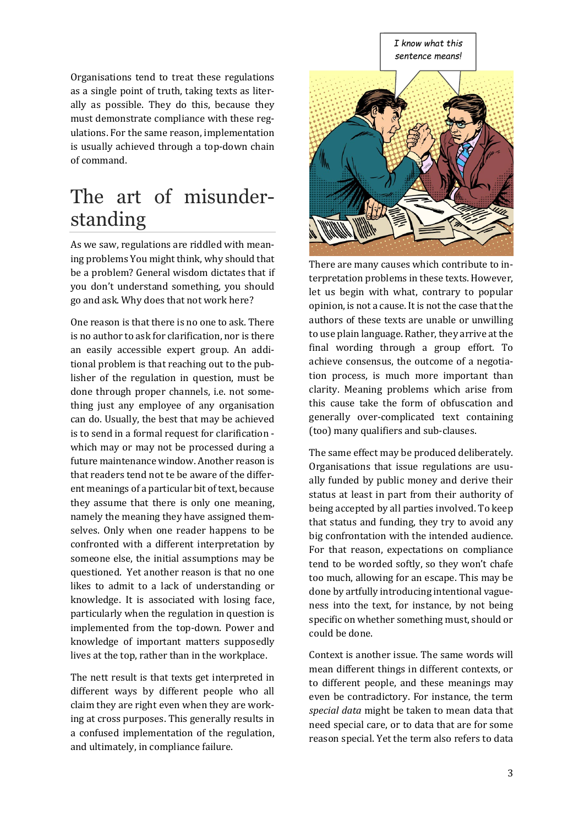#### *I know what this sentence means!*

Organisations tend to treat these regulations as a single point of truth, taking texts as literally as possible. They do this, because they must demonstrate compliance with these regulations. For the same reason, implementation is usually achieved through a top-down chain of command.

#### The art of misunderstanding

As we saw, regulations are riddled with meaning problems You might think, why should that be a problem? General wisdom dictates that if you don't understand something, you should go and ask. Why does that not work here?

One reason is that there is no one to ask. There is no author to ask for clarification, nor is there an easily accessible expert group. An additional problem is that reaching out to the publisher of the regulation in question, must be done through proper channels, i.e. not something just any employee of any organisation can do. Usually, the best that may be achieved is to send in a formal request for clarification which may or may not be processed during a future maintenance window. Another reason is that readers tend not te be aware of the different meanings of a particular bit of text, because they assume that there is only one meaning, namely the meaning they have assigned themselves. Only when one reader happens to be confronted with a different interpretation by someone else, the initial assumptions may be questioned. Yet another reason is that no one likes to admit to a lack of understanding or knowledge. It is associated with losing face, particularly when the regulation in question is implemented from the top-down. Power and knowledge of important matters supposedly lives at the top, rather than in the workplace.

The nett result is that texts get interpreted in different ways by different people who all claim they are right even when they are working at cross purposes. This generally results in a confused implementation of the regulation, and ultimately, in compliance failure.



There are many causes which contribute to interpretation problems in these texts. However, let us begin with what, contrary to popular opinion, is not a cause. It is not the case that the authors of these texts are unable or unwilling to use plain language. Rather, they arrive at the final wording through a group effort. To achieve consensus, the outcome of a negotiation process, is much more important than clarity. Meaning problems which arise from this cause take the form of obfuscation and generally over-complicated text containing (too) many qualifiers and sub-clauses.

The same effect may be produced deliberately. Organisations that issue regulations are usually funded by public money and derive their status at least in part from their authority of being accepted by all parties involved. To keep that status and funding, they try to avoid any big confrontation with the intended audience. For that reason, expectations on compliance tend to be worded softly, so they won't chafe too much, allowing for an escape. This may be done by artfully introducing intentional vagueness into the text, for instance, by not being specific on whether something must, should or could be done.

Context is another issue. The same words will mean different things in different contexts, or to different people, and these meanings may even be contradictory. For instance, the term *special data* might be taken to mean data that need special care, or to data that are for some reason special. Yet the term also refers to data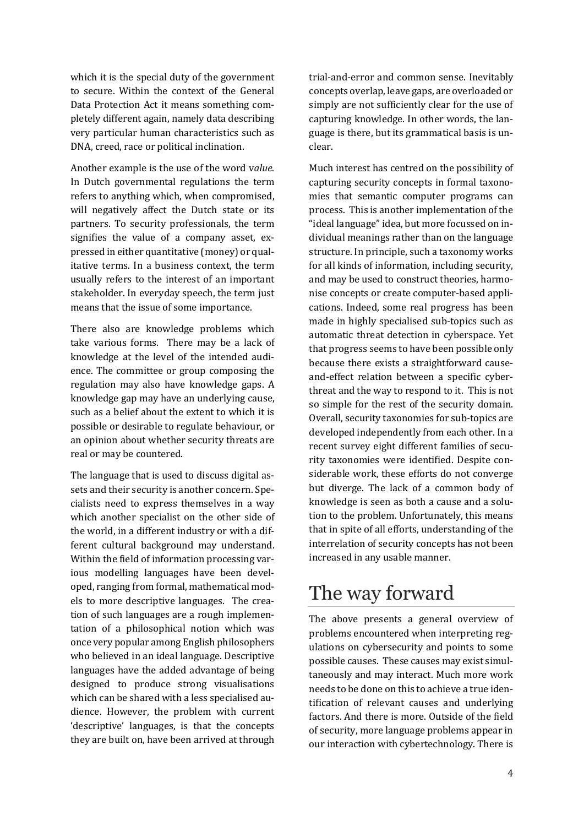which it is the special duty of the government to secure. Within the context of the General Data Protection Act it means something completely different again, namely data describing very particular human characteristics such as DNA, creed, race or political inclination.

Another example is the use of the word v*alue.* In Dutch governmental regulations the term refers to anything which, when compromised, will negatively affect the Dutch state or its partners. To security professionals, the term signifies the value of a company asset, expressed in either quantitative (money) or qualitative terms. In a business context, the term usually refers to the interest of an important stakeholder. In everyday speech, the term just means that the issue of some importance.

There also are knowledge problems which take various forms. There may be a lack of knowledge at the level of the intended audience. The committee or group composing the regulation may also have knowledge gaps. A knowledge gap may have an underlying cause, such as a belief about the extent to which it is possible or desirable to regulate behaviour, or an opinion about whether security threats are real or may be countered.

The language that is used to discuss digital assets and their security is another concern. Specialists need to express themselves in a way which another specialist on the other side of the world, in a different industry or with a different cultural background may understand. Within the field of information processing various modelling languages have been developed, ranging from formal, mathematical models to more descriptive languages. The creation of such languages are a rough implementation of a philosophical notion which was once very popular among English philosophers who believed in an ideal language. Descriptive languages have the added advantage of being designed to produce strong visualisations which can be shared with a less specialised audience. However, the problem with current 'descriptive' languages, is that the concepts they are built on, have been arrived at through

trial-and-error and common sense. Inevitably concepts overlap, leave gaps, are overloaded or simply are not sufficiently clear for the use of capturing knowledge. In other words, the language is there, but its grammatical basis is unclear.

Much interest has centred on the possibility of capturing security concepts in formal taxonomies that semantic computer programs can process. This is another implementation of the "ideal language" idea, but more focussed on individual meanings rather than on the language structure. In principle, such a taxonomy works for all kinds of information, including security, and may be used to construct theories, harmonise concepts or create computer-based applications. Indeed, some real progress has been made in highly specialised sub-topics such as automatic threat detection in cyberspace. Yet that progress seems to have been possible only because there exists a straightforward causeand-effect relation between a specific cyberthreat and the way to respond to it. This is not so simple for the rest of the security domain. Overall, security taxonomies for sub-topics are developed independently from each other. In a recent survey eight different families of security taxonomies were identified. Despite considerable work, these efforts do not converge but diverge. The lack of a common body of knowledge is seen as both a cause and a solution to the problem. Unfortunately, this means that in spite of all efforts, understanding of the interrelation of security concepts has not been increased in any usable manner.

#### The way forward

The above presents a general overview of problems encountered when interpreting regulations on cybersecurity and points to some possible causes. These causes may exist simultaneously and may interact. Much more work needs to be done on this to achieve a true identification of relevant causes and underlying factors. And there is more. Outside of the field of security, more language problems appear in our interaction with cybertechnology. There is